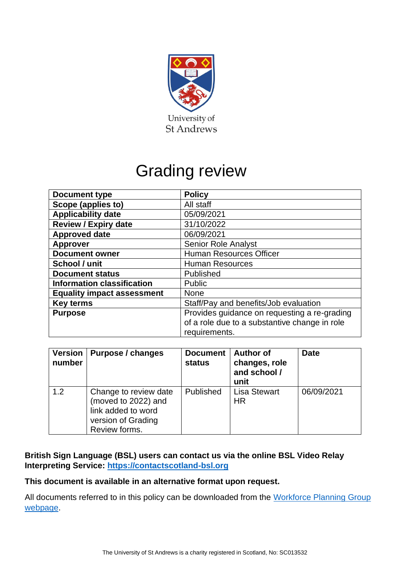

# Grading review

| <b>Document type</b>              | <b>Policy</b>                                 |  |
|-----------------------------------|-----------------------------------------------|--|
| Scope (applies to)                | All staff                                     |  |
| <b>Applicability date</b>         | 05/09/2021                                    |  |
| <b>Review / Expiry date</b>       | 31/10/2022                                    |  |
| <b>Approved date</b>              | 06/09/2021                                    |  |
| <b>Approver</b>                   | <b>Senior Role Analyst</b>                    |  |
| <b>Document owner</b>             | <b>Human Resources Officer</b>                |  |
| School / unit                     | <b>Human Resources</b>                        |  |
| <b>Document status</b>            | Published                                     |  |
| <b>Information classification</b> | <b>Public</b>                                 |  |
| <b>Equality impact assessment</b> | None                                          |  |
| <b>Key terms</b>                  | Staff/Pay and benefits/Job evaluation         |  |
| <b>Purpose</b>                    | Provides guidance on requesting a re-grading  |  |
|                                   | of a role due to a substantive change in role |  |
|                                   | requirements.                                 |  |

| <b>Version</b><br>number | <b>Purpose / changes</b>                                                                                  | <b>Document</b><br><b>status</b> | <b>Author of</b><br>changes, role<br>and school /<br>unit | <b>Date</b> |
|--------------------------|-----------------------------------------------------------------------------------------------------------|----------------------------------|-----------------------------------------------------------|-------------|
| 1.2                      | Change to review date<br>(moved to 2022) and<br>link added to word<br>version of Grading<br>Review forms. | Published                        | <b>Lisa Stewart</b><br><b>HR</b>                          | 06/09/2021  |

# **British Sign Language (BSL) users can contact us via the online BSL Video Relay Interpreting Service: [https://contactscotland-bsl.org](https://contactscotland-bsl.org/)**

# **This document is available in an alternative format upon request.**

All documents referred to in this policy can be downloaded from the Workforce Planning Group [webpage.](https://www.st-andrews.ac.uk/hr/workforceplanninggroup/)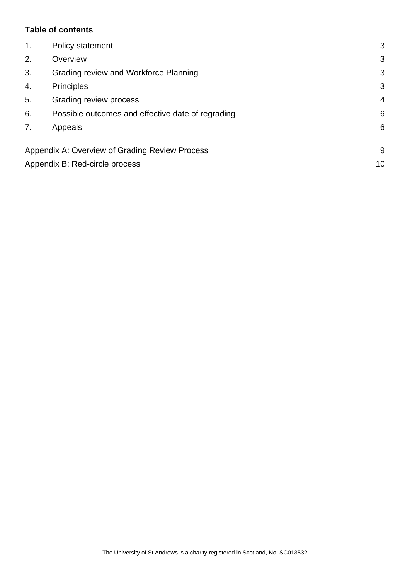#### **Table of contents**

| $\mathbf 1$ . | Policy statement                                  | 3              |
|---------------|---------------------------------------------------|----------------|
| 2.            | Overview                                          | 3              |
| 3.            | Grading review and Workforce Planning             | 3              |
| 4.            | <b>Principles</b>                                 | 3              |
| 5.            | Grading review process                            | $\overline{4}$ |
| 6.            | Possible outcomes and effective date of regrading | 6              |
| 7.            | Appeals                                           | 6              |
|               | Appendix A: Overview of Grading Review Process    | 9              |
|               | Appendix B: Red-circle process                    | 10             |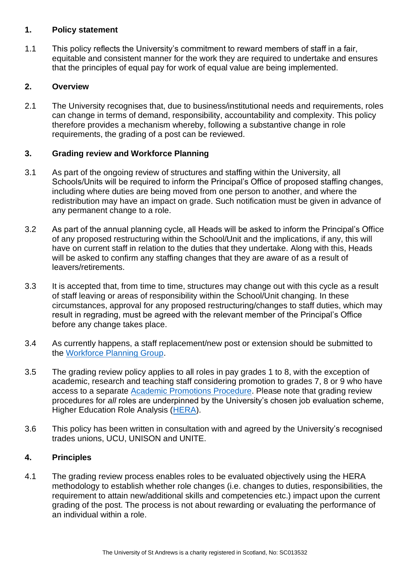#### <span id="page-2-0"></span>**1. Policy statement**

1.1 This policy reflects the University's commitment to reward members of staff in a fair, equitable and consistent manner for the work they are required to undertake and ensures that the principles of equal pay for work of equal value are being implemented.

# <span id="page-2-1"></span>**2. Overview**

2.1 The University recognises that, due to business/institutional needs and requirements, roles can change in terms of demand, responsibility, accountability and complexity. This policy therefore provides a mechanism whereby, following a substantive change in role requirements, the grading of a post can be reviewed.

# <span id="page-2-2"></span>**3. Grading review and Workforce Planning**

- 3.1 As part of the ongoing review of structures and staffing within the University, all Schools/Units will be required to inform the Principal's Office of proposed staffing changes, including where duties are being moved from one person to another, and where the redistribution may have an impact on grade. Such notification must be given in advance of any permanent change to a role.
- 3.2 As part of the annual planning cycle, all Heads will be asked to inform the Principal's Office of any proposed restructuring within the School/Unit and the implications, if any, this will have on current staff in relation to the duties that they undertake. Along with this, Heads will be asked to confirm any staffing changes that they are aware of as a result of leavers/retirements.
- 3.3 It is accepted that, from time to time, structures may change out with this cycle as a result of staff leaving or areas of responsibility within the School/Unit changing. In these circumstances, approval for any proposed restructuring/changes to staff duties, which may result in regrading, must be agreed with the relevant member of the Principal's Office before any change takes place.
- 3.4 As currently happens, a staff replacement/new post or extension should be submitted to the [Workforce Planning Group.](mailto:workforce@st-andrews.ac.uk)
- 3.5 The grading review policy applies to all roles in pay grades 1 to 8, with the exception of academic, research and teaching staff considering promotion to grades 7, 8 or 9 who have access to a separate [Academic Promotions Procedure.](https://www.st-andrews.ac.uk/hr/gradingrewardandconditions/academicpromotions/) Please note that grading review procedures for *all* roles are underpinned by the University's chosen job evaluation scheme, Higher Education Role Analysis [\(HERA\)](https://www.st-andrews.ac.uk/hr/gradingrewardandconditions/roleanalysisheraoverview/).
- 3.6 This policy has been written in consultation with and agreed by the University's recognised trades unions, UCU, UNISON and UNITE.

# <span id="page-2-3"></span>**4. Principles**

4.1 The grading review process enables roles to be evaluated objectively using the HERA methodology to establish whether role changes (i.e. changes to duties, responsibilities, the requirement to attain new/additional skills and competencies etc.) impact upon the current grading of the post. The process is not about rewarding or evaluating the performance of an individual within a role.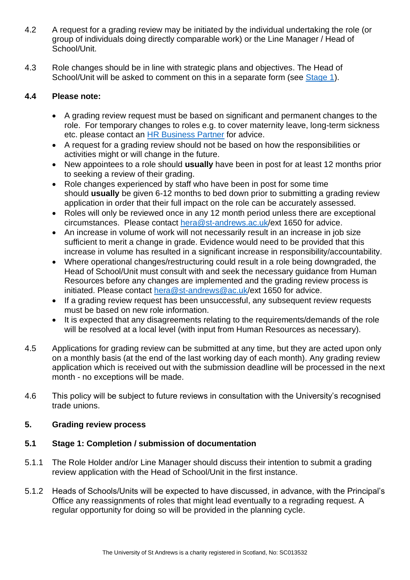- 4.2 A request for a grading review may be initiated by the individual undertaking the role (or group of individuals doing directly comparable work) or the Line Manager / Head of School/Unit.
- 4.3 Role changes should be in line with strategic plans and objectives. The Head of School/Unit will be asked to comment on this in a separate form (see [Stage 1\)](#page-3-1).

# **4.4 Please note:**

- A grading review request must be based on significant and permanent changes to the role. For temporary changes to roles e.g. to cover maternity leave, long-term sickness etc. please contact an [HR Business Partner](https://www.st-andrews.ac.uk/hr/businesspartner/) for advice.
- A request for a grading review should not be based on how the responsibilities or activities might or will change in the future.
- New appointees to a role should **usually** have been in post for at least 12 months prior to seeking a review of their grading.
- Role changes experienced by staff who have been in post for some time should **usually** be given 6-12 months to bed down prior to submitting a grading review application in order that their full impact on the role can be accurately assessed.
- Roles will only be reviewed once in any 12 month period unless there are exceptional circumstances. Please contact [hera@st-andrews.ac.uk/](mailto:hera@st-andrews.ac.uk)ext 1650 for advice.
- An increase in volume of work will not necessarily result in an increase in job size sufficient to merit a change in grade. Evidence would need to be provided that this increase in volume has resulted in a significant increase in responsibility/accountability.
- Where operational changes/restructuring could result in a role being downgraded, the Head of School/Unit must consult with and seek the necessary guidance from Human Resources before any changes are implemented and the grading review process is initiated. Please contact [hera@st-andrews@ac.uk/](mailto:hera@st-andrews.ac.uk)ext 1650 for advice.
- If a grading review request has been unsuccessful, any subsequent review requests must be based on new role information.
- It is expected that any disagreements relating to the requirements/demands of the role will be resolved at a local level (with input from Human Resources as necessary).
- 4.5 Applications for grading review can be submitted at any time, but they are acted upon only on a monthly basis (at the end of the last working day of each month). Any grading review application which is received out with the submission deadline will be processed in the next month - no exceptions will be made.
- 4.6 This policy will be subject to future reviews in consultation with the University's recognised trade unions.

# <span id="page-3-0"></span>**5. Grading review process**

# <span id="page-3-1"></span>**5.1 Stage 1: Completion / submission of documentation**

- 5.1.1 The Role Holder and/or Line Manager should discuss their intention to submit a grading review application with the Head of School/Unit in the first instance.
- 5.1.2 Heads of Schools/Units will be expected to have discussed, in advance, with the Principal's Office any reassignments of roles that might lead eventually to a regrading request. A regular opportunity for doing so will be provided in the planning cycle.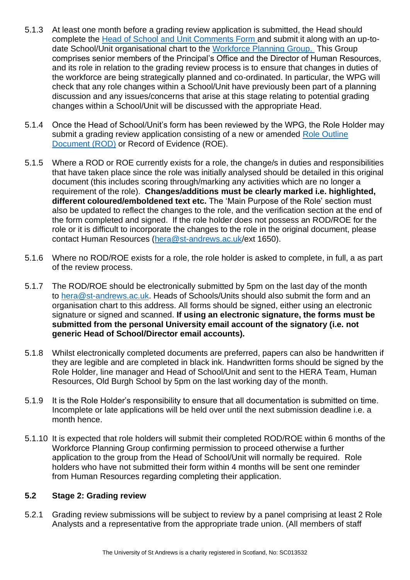- 5.1.3 At least one month before a grading review application is submitted, the Head should complete the [Head of School and Unit Comments Form](https://www.st-andrews.ac.uk/media/human-resources/new-policy-section-documents/gradingreview/HoS%20or%20Unit%20comments%20form%20for%20WPG.docx) and submit it along with an up-todate School/Unit organisational chart to the [Workforce Planning Group.](mailto:workforce@st-andrews.ac.uk) This Group comprises senior members of the Principal's Office and the Director of Human Resources, and its role in relation to the grading review process is to ensure that changes in duties of the workforce are being strategically planned and co-ordinated. In particular, the WPG will check that any role changes within a School/Unit have previously been part of a planning discussion and any issues/concerns that arise at this stage relating to potential grading changes within a School/Unit will be discussed with the appropriate Head.
- 5.1.4 Once the Head of School/Unit's form has been reviewed by the WPG, the Role Holder may submit a grading review application consisting of a new or amended [Role Outline](https://www.st-andrews.ac.uk/media/human-resources/gradingrewardconditions/Role%20Outline%20Document%20Dec%2013.doc)  [Document \(ROD\)](https://www.st-andrews.ac.uk/media/human-resources/gradingrewardconditions/Role%20Outline%20Document%20Dec%2013.doc) or Record of Evidence (ROE).
- 5.1.5 Where a ROD or ROE currently exists for a role, the change/s in duties and responsibilities that have taken place since the role was initially analysed should be detailed in this original document (this includes scoring through/marking any activities which are no longer a requirement of the role). **Changes/additions must be clearly marked i.e. highlighted, different coloured/emboldened text etc.** The 'Main Purpose of the Role' section must also be updated to reflect the changes to the role, and the verification section at the end of the form completed and signed. If the role holder does not possess an ROD/ROE for the role or it is difficult to incorporate the changes to the role in the original document, please contact Human Resources [\(hera@st-andrews.ac.uk/](mailto:hera@st-andrews.ac.uk)ext 1650).
- 5.1.6 Where no ROD/ROE exists for a role, the role holder is asked to complete, in full, a as part of the review process.
- 5.1.7 The ROD/ROE should be electronically submitted by 5pm on the last day of the month to [hera@st-andrews.ac.uk.](mailto:hera@st-andrews.ac.uk) Heads of Schools/Units should also submit the form and an organisation chart to this address. All forms should be signed, either using an electronic signature or signed and scanned. **If using an electronic signature, the forms must be submitted from the personal University email account of the signatory (i.e. not generic Head of School/Director email accounts).**
- 5.1.8 Whilst electronically completed documents are preferred, papers can also be handwritten if they are legible and are completed in black ink. Handwritten forms should be signed by the Role Holder, line manager and Head of School/Unit and sent to the HERA Team, Human Resources, Old Burgh School by 5pm on the last working day of the month.
- 5.1.9 It is the Role Holder's responsibility to ensure that all documentation is submitted on time. Incomplete or late applications will be held over until the next submission deadline i.e. a month hence.
- 5.1.10 It is expected that role holders will submit their completed ROD/ROE within 6 months of the Workforce Planning Group confirming permission to proceed otherwise a further application to the group from the Head of School/Unit will normally be required. Role holders who have not submitted their form within 4 months will be sent one reminder from Human Resources regarding completing their application.

#### **5.2 Stage 2: Grading review**

5.2.1 Grading review submissions will be subject to review by a panel comprising at least 2 Role Analysts and a representative from the appropriate trade union. (All members of staff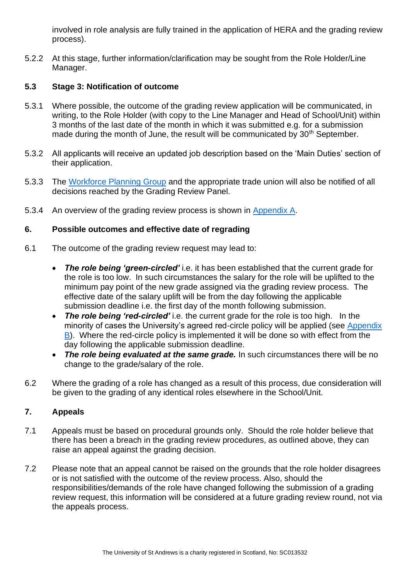involved in role analysis are fully trained in the application of HERA and the grading review process).

5.2.2 At this stage, further information/clarification may be sought from the Role Holder/Line Manager.

# **5.3 Stage 3: Notification of outcome**

- 5.3.1 Where possible, the outcome of the grading review application will be communicated, in writing, to the Role Holder (with copy to the Line Manager and Head of School/Unit) within 3 months of the last date of the month in which it was submitted e.g. for a submission made during the month of June, the result will be communicated by 30<sup>th</sup> September.
- 5.3.2 All applicants will receive an updated job description based on the 'Main Duties' section of their application.
- 5.3.3 The [Workforce Planning Group](https://www.st-andrews.ac.uk/hr/workforceplanninggroup/) and the appropriate trade union will also be notified of all decisions reached by the Grading Review Panel.
- 5.3.4 An overview of the grading review process is shown in [Appendix A.](#page-8-0)

#### <span id="page-5-0"></span>**6. Possible outcomes and effective date of regrading**

- 6.1 The outcome of the grading review request may lead to:
	- *The role being 'green-circled'* i.e. it has been established that the current grade for the role is too low.In such circumstances the salary for the role will be uplifted to the minimum pay point of the new grade assigned via the grading review process. The effective date of the salary uplift will be from the day following the applicable submission deadline i.e. the first day of the month following submission.
	- *The role being 'red-circled'* i.e. the current grade for the role is too high. In the minority of cases the University's agreed red-circle policy will be applied (see [Appendix](#page-9-0)  B). Where the red-circle policy is implemented it will be done so with effect from the day following the applicable submission deadline.
	- *The role being evaluated at the same grade.* In such circumstances there will be no change to the grade/salary of the role.
- 6.2 Where the grading of a role has changed as a result of this process, due consideration will be given to the grading of any identical roles elsewhere in the School/Unit.

# <span id="page-5-1"></span>**7. Appeals**

- 7.1 Appeals must be based on procedural grounds only. Should the role holder believe that there has been a breach in the grading review procedures, as outlined above, they can raise an appeal against the grading decision.
- 7.2 Please note that an appeal cannot be raised on the grounds that the role holder disagrees or is not satisfied with the outcome of the review process. Also, should the responsibilities/demands of the role have changed following the submission of a grading review request, this information will be considered at a future grading review round, not via the appeals process.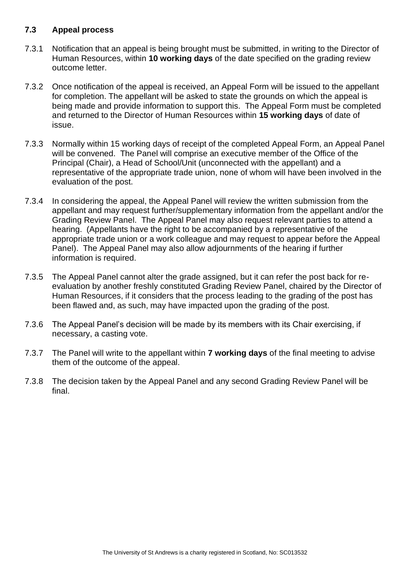#### **7.3 Appeal process**

- 7.3.1 Notification that an appeal is being brought must be submitted, in writing to the Director of Human Resources, within **10 working days** of the date specified on the grading review outcome letter.
- 7.3.2 Once notification of the appeal is received, an Appeal Form will be issued to the appellant for completion. The appellant will be asked to state the grounds on which the appeal is being made and provide information to support this. The Appeal Form must be completed and returned to the Director of Human Resources within **15 working days** of date of issue.
- 7.3.3 Normally within 15 working days of receipt of the completed Appeal Form, an Appeal Panel will be convened. The Panel will comprise an executive member of the Office of the Principal (Chair), a Head of School/Unit (unconnected with the appellant) and a representative of the appropriate trade union, none of whom will have been involved in the evaluation of the post.
- 7.3.4 In considering the appeal, the Appeal Panel will review the written submission from the appellant and may request further/supplementary information from the appellant and/or the Grading Review Panel. The Appeal Panel may also request relevant parties to attend a hearing. (Appellants have the right to be accompanied by a representative of the appropriate trade union or a work colleague and may request to appear before the Appeal Panel). The Appeal Panel may also allow adjournments of the hearing if further information is required.
- 7.3.5 The Appeal Panel cannot alter the grade assigned, but it can refer the post back for reevaluation by another freshly constituted Grading Review Panel, chaired by the Director of Human Resources, if it considers that the process leading to the grading of the post has been flawed and, as such, may have impacted upon the grading of the post.
- 7.3.6 The Appeal Panel's decision will be made by its members with its Chair exercising, if necessary, a casting vote.
- 7.3.7 The Panel will write to the appellant within **7 working days** of the final meeting to advise them of the outcome of the appeal.
- 7.3.8 The decision taken by the Appeal Panel and any second Grading Review Panel will be final.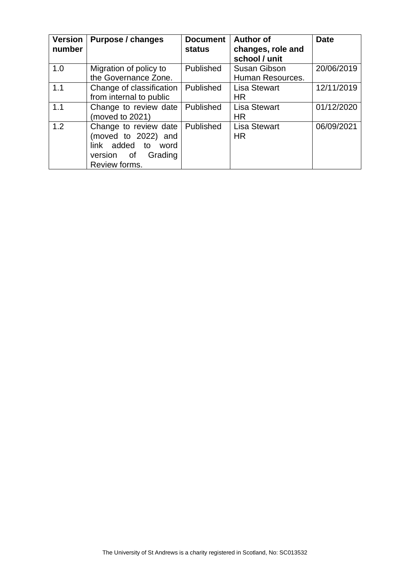| <b>Version</b><br>number | Purpose / changes                                                                                               | <b>Document</b><br><b>status</b> | <b>Author of</b><br>changes, role and<br>school / unit | <b>Date</b> |
|--------------------------|-----------------------------------------------------------------------------------------------------------------|----------------------------------|--------------------------------------------------------|-------------|
| 1.0                      | Migration of policy to<br>the Governance Zone.                                                                  | Published                        | <b>Susan Gibson</b><br>Human Resources.                | 20/06/2019  |
| 1.1                      | Change of classification<br>from internal to public                                                             | Published                        | <b>Lisa Stewart</b><br><b>HR</b>                       | 12/11/2019  |
| 1.1                      | Change to review date<br>(moved to 2021)                                                                        | Published                        | <b>Lisa Stewart</b><br><b>HR</b>                       | 01/12/2020  |
| 1.2                      | Change to review date<br>(moved to 2022) and<br>link added to<br>word<br>version of<br>Grading<br>Review forms. | Published                        | <b>Lisa Stewart</b><br><b>HR</b>                       | 06/09/2021  |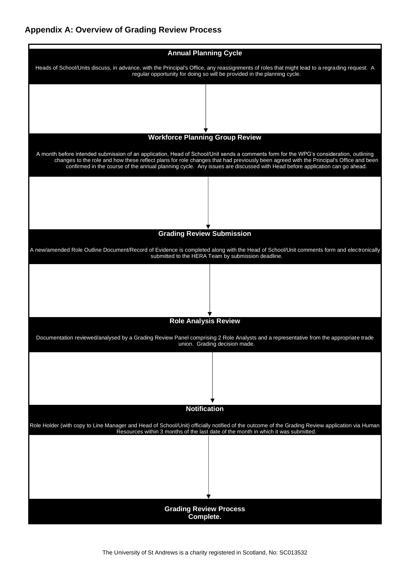# <span id="page-8-0"></span>**Appendix A: Overview of Grading Review Process**

| <b>Annual Planning Cycle</b>                                                                                                                                                                                                                                                                                                                                                                                 |
|--------------------------------------------------------------------------------------------------------------------------------------------------------------------------------------------------------------------------------------------------------------------------------------------------------------------------------------------------------------------------------------------------------------|
| Heads of School/Units discuss, in advance, with the Principal's Office, any reassignments of roles that might lead to a regrading request. A<br>regular opportunity for doing so will be provided in the planning cycle.                                                                                                                                                                                     |
|                                                                                                                                                                                                                                                                                                                                                                                                              |
|                                                                                                                                                                                                                                                                                                                                                                                                              |
| <b>Workforce Planning Group Review</b>                                                                                                                                                                                                                                                                                                                                                                       |
|                                                                                                                                                                                                                                                                                                                                                                                                              |
| A month before intended submission of an application, Head of School/Unit sends a comments form for the WPG's consideration, outlining<br>changes to the role and how these reflect plans for role changes that had previously been agreed with the Principal's Office and been<br>confirmed in the course of the annual planning cycle. Any issues are discussed with Head before application can go ahead. |
|                                                                                                                                                                                                                                                                                                                                                                                                              |
|                                                                                                                                                                                                                                                                                                                                                                                                              |
|                                                                                                                                                                                                                                                                                                                                                                                                              |
| <b>Grading Review Submission</b>                                                                                                                                                                                                                                                                                                                                                                             |
| A new/amended Role Outline Document/Record of Evidence is completed along with the Head of School/Unit comments form and electronically<br>submitted to the HERA Team by submission deadline.                                                                                                                                                                                                                |
|                                                                                                                                                                                                                                                                                                                                                                                                              |
|                                                                                                                                                                                                                                                                                                                                                                                                              |
|                                                                                                                                                                                                                                                                                                                                                                                                              |
| <b>Role Analysis Review</b>                                                                                                                                                                                                                                                                                                                                                                                  |
| Documentation reviewed/analysed by a Grading Review Panel comprising 2 Role Analysts and a representative from the appropriate trade                                                                                                                                                                                                                                                                         |
| union. Grading decision made.                                                                                                                                                                                                                                                                                                                                                                                |
|                                                                                                                                                                                                                                                                                                                                                                                                              |
|                                                                                                                                                                                                                                                                                                                                                                                                              |
|                                                                                                                                                                                                                                                                                                                                                                                                              |
| <b>Notification</b>                                                                                                                                                                                                                                                                                                                                                                                          |
| Role Holder (with copy to Line Manager and Head of School/Unit) officially notified of the outcome of the Grading Review application via Human<br>Resources within 3 months of the last date of the month in which it was submitted.                                                                                                                                                                         |
|                                                                                                                                                                                                                                                                                                                                                                                                              |
|                                                                                                                                                                                                                                                                                                                                                                                                              |
|                                                                                                                                                                                                                                                                                                                                                                                                              |
|                                                                                                                                                                                                                                                                                                                                                                                                              |
| <b>Grading Review Process</b>                                                                                                                                                                                                                                                                                                                                                                                |
| Complete.                                                                                                                                                                                                                                                                                                                                                                                                    |